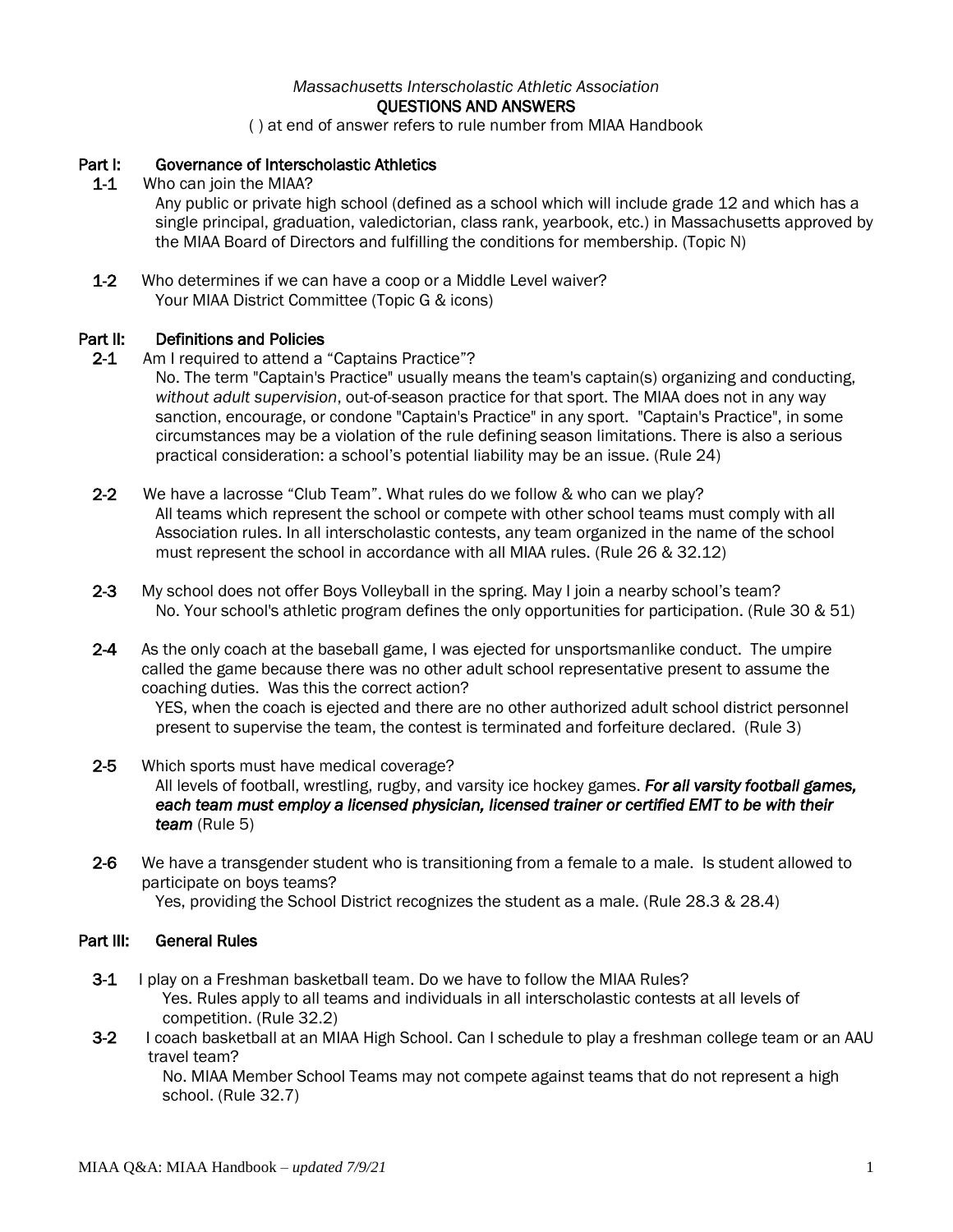## *Massachusetts Interscholastic Athletic Association* QUESTIONS AND ANSWERS

( ) at end of answer refers to rule number from MIAA Handbook

## Part I: Governance of Interscholastic Athletics

1-1 Who can join the MIAA?

Any public or private high school (defined as a school which will include grade 12 and which has a single principal, graduation, valedictorian, class rank, yearbook, etc.) in Massachusetts approved by the MIAA Board of Directors and fulfilling the conditions for membership. (Topic N)

1-2 Who determines if we can have a coop or a Middle Level waiver? Your MIAA District Committee (Topic G & icons)

#### Part II: Definitions and Policies

2-1 Am I required to attend a "Captains Practice"?

No. The term "Captain's Practice" usually means the team's captain(s) organizing and conducting, *without adult supervision*, out-of-season practice for that sport. The MIAA does not in any way sanction, encourage, or condone "Captain's Practice" in any sport. "Captain's Practice", in some circumstances may be a violation of the rule defining season limitations. There is also a serious practical consideration: a school's potential liability may be an issue. (Rule 24)

- 2-2 We have a lacrosse "Club Team". What rules do we follow & who can we play? All teams which represent the school or compete with other school teams must comply with all Association rules. In all interscholastic contests, any team organized in the name of the school must represent the school in accordance with all MIAA rules. (Rule 26 & 32.12)
- 2-3 My school does not offer Boys Volleyball in the spring. May I join a nearby school's team? No. Your school's athletic program defines the only opportunities for participation. (Rule 30 & 51)
- 2-4 As the only coach at the baseball game, I was ejected for unsportsmanlike conduct. The umpire called the game because there was no other adult school representative present to assume the coaching duties. Was this the correct action?

YES, when the coach is ejected and there are no other authorized adult school district personnel present to supervise the team, the contest is terminated and forfeiture declared. (Rule 3)

- 2-5 Which sports must have medical coverage? All levels of football, wrestling, rugby, and varsity ice hockey games. *For all varsity football games,*  each team must employ a licensed physician, licensed trainer or certified EMT to be with their *team* (Rule 5)
- 2-6 We have a transgender student who is transitioning from a female to a male. Is student allowed to participate on boys teams? Yes, providing the School District recognizes the student as a male. (Rule 28.3 & 28.4)

#### Part III: General Rules

- 3-1 I play on a Freshman basketball team. Do we have to follow the MIAA Rules? Yes. Rules apply to all teams and individuals in all interscholastic contests at all levels of competition. (Rule 32.2)
- 3-2 I coach basketball at an MIAA High School. Can I schedule to play a freshman college team or an AAU travel team?

No. MIAA Member School Teams may not compete against teams that do not represent a high school. (Rule 32.7)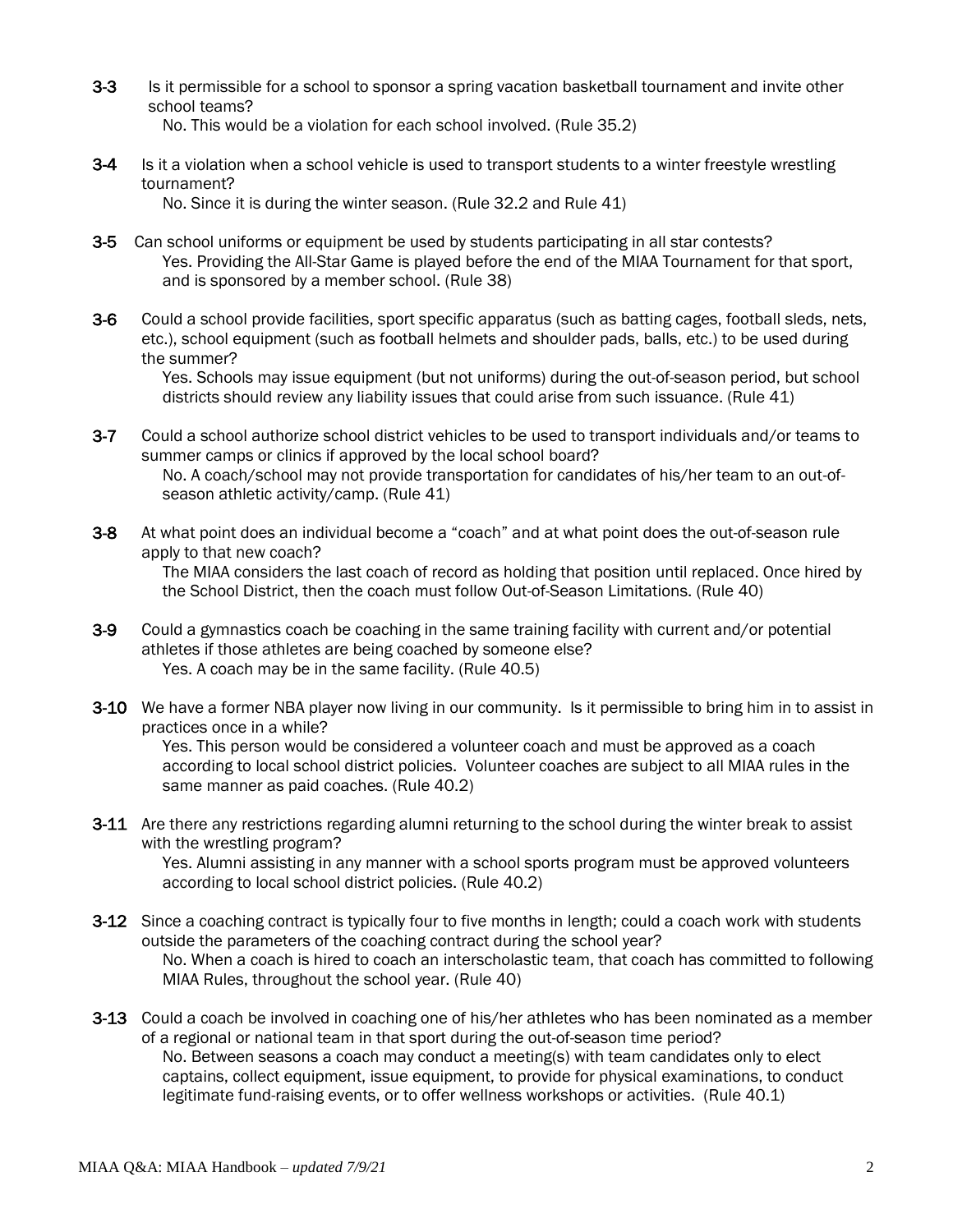3-3 Is it permissible for a school to sponsor a spring vacation basketball tournament and invite other school teams?

No. This would be a violation for each school involved. (Rule 35.2)

3-4 Is it a violation when a school vehicle is used to transport students to a winter freestyle wrestling tournament?

No. Since it is during the winter season. (Rule 32.2 and Rule 41)

- 3-5 Can school uniforms or equipment be used by students participating in all star contests? Yes. Providing the All-Star Game is played before the end of the MIAA Tournament for that sport, and is sponsored by a member school. (Rule 38)
- 3-6 Could a school provide facilities, sport specific apparatus (such as batting cages, football sleds, nets, etc.), school equipment (such as football helmets and shoulder pads, balls, etc.) to be used during the summer?

Yes. Schools may issue equipment (butnotuniforms) during the out-of-season period, but school districts should review any liability issues that could arise from such issuance. (Rule 41)

- 3-7 Could a school authorize school district vehicles to be used to transport individuals and/or teams to summer camps or clinics if approved by the local school board? No. A coach/school may not provide transportation for candidates of his/her team to an out-ofseason athletic activity/camp. (Rule 41)
- 3-8 At what point does an individual become a "coach" and at what point does the out-of-season rule apply to that new coach?

The MIAA considers the last coach of record as holding that position until replaced. Once hired by the School District, then the coach must follow Out-of-Season Limitations. (Rule 40)

- 3-9 Could a gymnastics coach be coaching in the same training facility with current and/or potential athletes if those athletes are being coached by someone else? Yes. A coach may be in the same facility. (Rule 40.5)
- 3-10 We have a former NBA player now living in our community. Is it permissible to bring him in to assist in practices once in a while?

Yes. This person would be considered a volunteer coach and must be approved as a coach according to local school district policies. Volunteer coaches are subject to all MIAA rules in the same manner as paid coaches. (Rule 40.2)

3-11 Are there any restrictions regarding alumni returning to the school during the winter break to assist with the wrestling program?

Yes. Alumni assisting in any manner with a school sports program must be approved volunteers according to local school district policies. (Rule 40.2)

- 3-12 Since a coaching contract is typically four to five months in length; could a coach work with students outside the parameters of the coaching contract during the school year? No. When a coach is hired to coach an interscholastic team, that coach has committed to following MIAA Rules, throughout the school year. (Rule 40)
- 3-13 Could a coach be involved in coaching one of his/her athletes who has been nominated as a member of a regional or national team in that sport during the out-of-season time period? No. Between seasons a coach may conduct a meeting(s) with team candidates only to elect captains, collect equipment, issue equipment, to provide for physical examinations, to conduct legitimate fund-raising events, or to offer wellness workshops or activities. (Rule 40.1)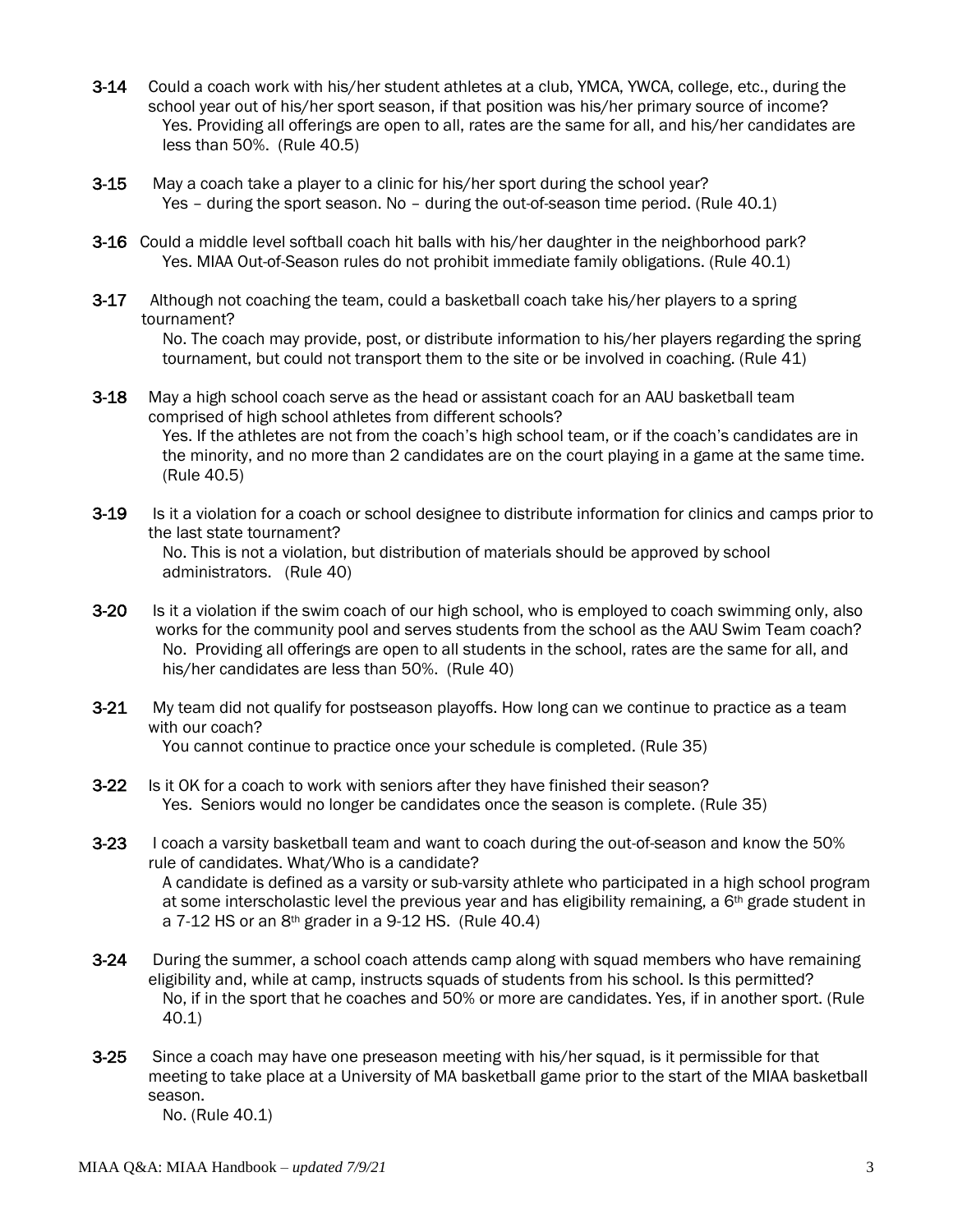- 3-14 Could a coach work with his/her student athletes at a club, YMCA, YWCA, college, etc., during the school year out of his/her sport season, if that position was his/her primary source of income? Yes. Providing all offerings are open to all, rates are the same for all, and his/her candidates are less than 50%. (Rule 40.5)
- **3-15** May a coach take a player to a clinic for his/her sport during the school year? Yes – during the sport season. No – during the out-of-season time period. (Rule 40.1)
- 3-16 Could a middle level softball coach hit balls with his/her daughter in the neighborhood park? Yes. MIAA Out-of-Season rules do not prohibit immediate family obligations. (Rule 40.1)
- **3-17** Although not coaching the team, could a basketball coach take his/her players to a spring tournament?

No. The coach may provide, post, or distribute information to his/her players regarding the spring tournament, but could not transport them to the site or be involved in coaching. (Rule 41)

- **3-18** May a high school coach serve as the head or assistant coach for an AAU basketball team comprised of high school athletes from different schools? Yes. If the athletes are not from the coach's high school team, or if the coach's candidates are in the minority, and no more than 2 candidates are on the court playing in a game at the same time. (Rule 40.5)
- **3-19** Is it a violation for a coach or school designee to distribute information for clinics and camps prior to the last state tournament? No. This is not a violation, but distribution of materials should be approved by school administrators. (Rule 40)
- 3-20 Is it a violation if the swim coach of our high school, who is employed to coach swimming only, also works for the community pool and serves students from the school as the AAU Swim Team coach? No. Providing all offerings are open to all students in the school, rates are the same for all, and his/her candidates are less than 50%. (Rule 40)
- **3-21** My team did not qualify for postseason playoffs. How long can we continue to practice as a team with our coach? You cannot continue to practice once your schedule is completed. (Rule 35)
- **3-22** Is it OK for a coach to work with seniors after they have finished their season? Yes. Seniors would no longer be candidates once the season is complete. (Rule 35)
- 3-23 I coach a varsity basketball team and want to coach during the out-of-season and know the 50% rule of candidates. What/Who is a candidate? A candidate is defined as a varsity or sub-varsity athlete who participated in a high school program at some interscholastic level the previous year and has eligibility remaining, a  $6<sup>th</sup>$  grade student in a  $7-12$  HS or an  $8<sup>th</sup>$  grader in a 9-12 HS. (Rule 40.4)
- 3-24 During the summer, a school coach attends camp along with squad members who have remaining eligibility and, while at camp, instructs squads of students from his school. Is this permitted? No, if in the sport that he coaches and 50% or more are candidates. Yes, if in another sport. (Rule 40.1)
- **3-25** Since a coach may have one preseason meeting with his/her squad, is it permissible for that meeting to take place at a University of MA basketball game prior to the start of the MIAA basketball season.

No. (Rule 40.1)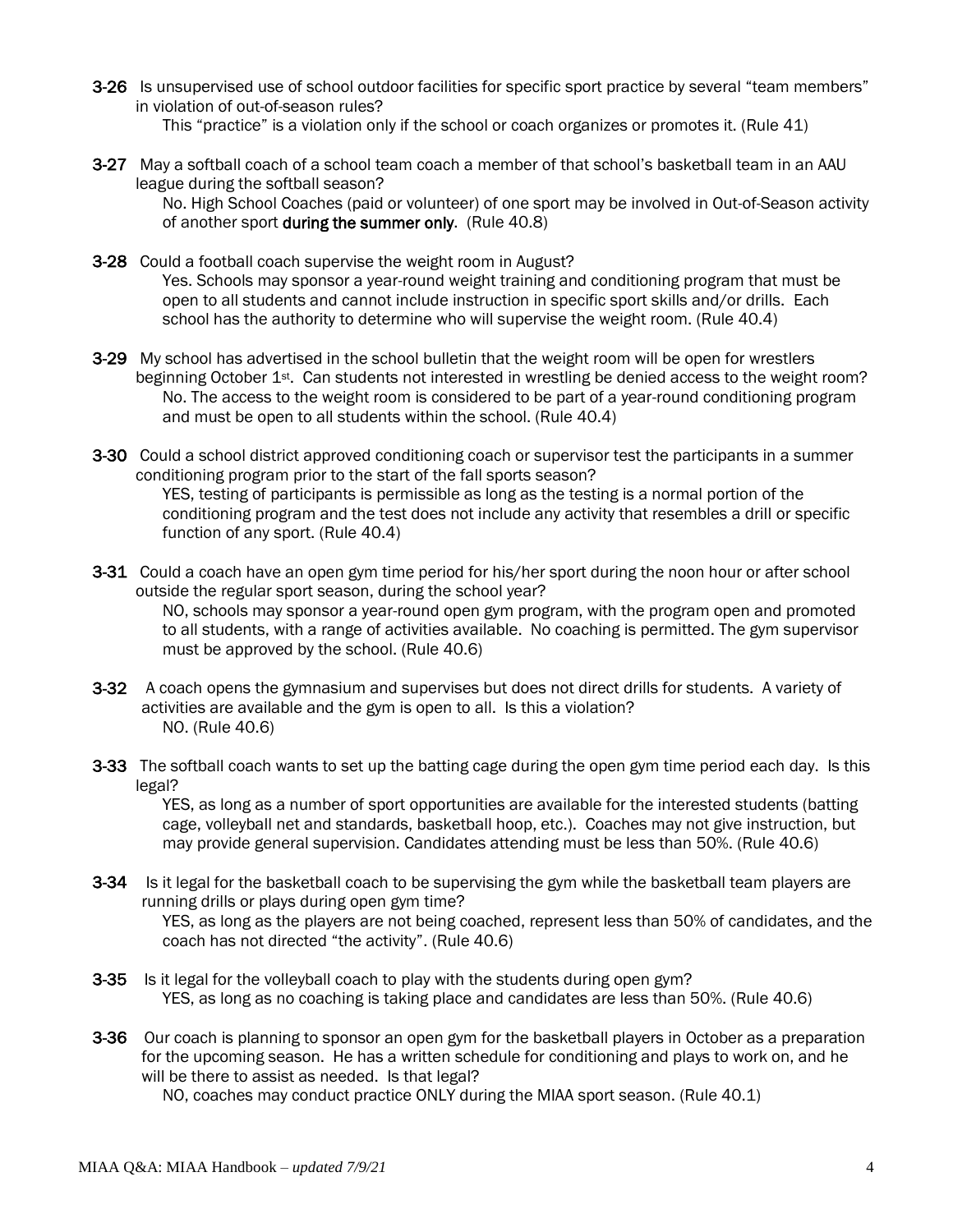- 3-26 Is unsupervised use of school outdoor facilities for specific sport practice by several "team members" in violation of out-of-season rules?
	- This "practice" is a violation only if the school or coach organizes or promotes it. (Rule 41)
- 3-27 May a softball coach of a school team coach a member of that school's basketball team in an AAU league during the softball season?

No. High School Coaches (paid or volunteer) of one sport may be involved in Out-of-Season activity of another sport during the summer only. (Rule 40.8)

- 3-28 Could a football coach supervise the weight room in August? Yes. Schools may sponsor a year-round weight training and conditioning program that must be open to all students and cannot include instruction in specific sport skills and/or drills. Each school has the authority to determine who will supervise the weight room. (Rule 40.4)
- 3-29 My school has advertised in the school bulletin that the weight room will be open for wrestlers beginning October 1st. Can students not interested in wrestling be denied access to the weight room? No. The access to the weight room is considered to be part of a year-round conditioning program and must be open to all students within the school. (Rule 40.4)
- 3-30 Could a school district approved conditioning coach or supervisor test the participants in a summer conditioning program prior to the start of the fall sports season? YES, testing of participants is permissible as long as the testing is a normal portion of the conditioning program and the test does not include any activity that resembles a drill or specific function of any sport. (Rule 40.4)
- 3-31 Could a coach have an open gym time period for his/her sport during the noon hour or after school outside the regular sport season, during the school year? NO, schools may sponsor a year-round open gym program, with the program open and promoted to all students, with a range of activities available. No coaching is permitted. The gym supervisor must be approved by the school. (Rule 40.6)
- 3-32 A coach opens the gymnasium and supervises but does not direct drills for students. A variety of activities are available and the gym is open to all. Is this a violation? NO. (Rule 40.6)
- 3-33 The softball coach wants to set up the batting cage during the open gym time period each day. Is this legal?

YES, as long as a number of sport opportunities are available for the interested students (batting cage, volleyball net and standards, basketball hoop, etc.). Coaches may not give instruction, but may provide general supervision. Candidates attending must be less than 50%. (Rule 40.6)

- 3-34 Is it legal for the basketball coach to be supervising the gym while the basketball team players are running drills or plays during open gym time? YES, as long as the players are not being coached, represent less than 50% of candidates, and the coach has not directed "the activity". (Rule 40.6)
- 3-35 Is it legal for the volleyball coach to play with the students during open gym? YES, as long as no coaching is taking place and candidates are less than 50%. (Rule 40.6)
- 3-36 Our coach is planning to sponsor an open gym for the basketball players in October as a preparation for the upcoming season. He has a written schedule for conditioning and plays to work on, and he will be there to assist as needed. Is that legal?

NO, coaches may conduct practice ONLY during the MIAA sport season. (Rule 40.1)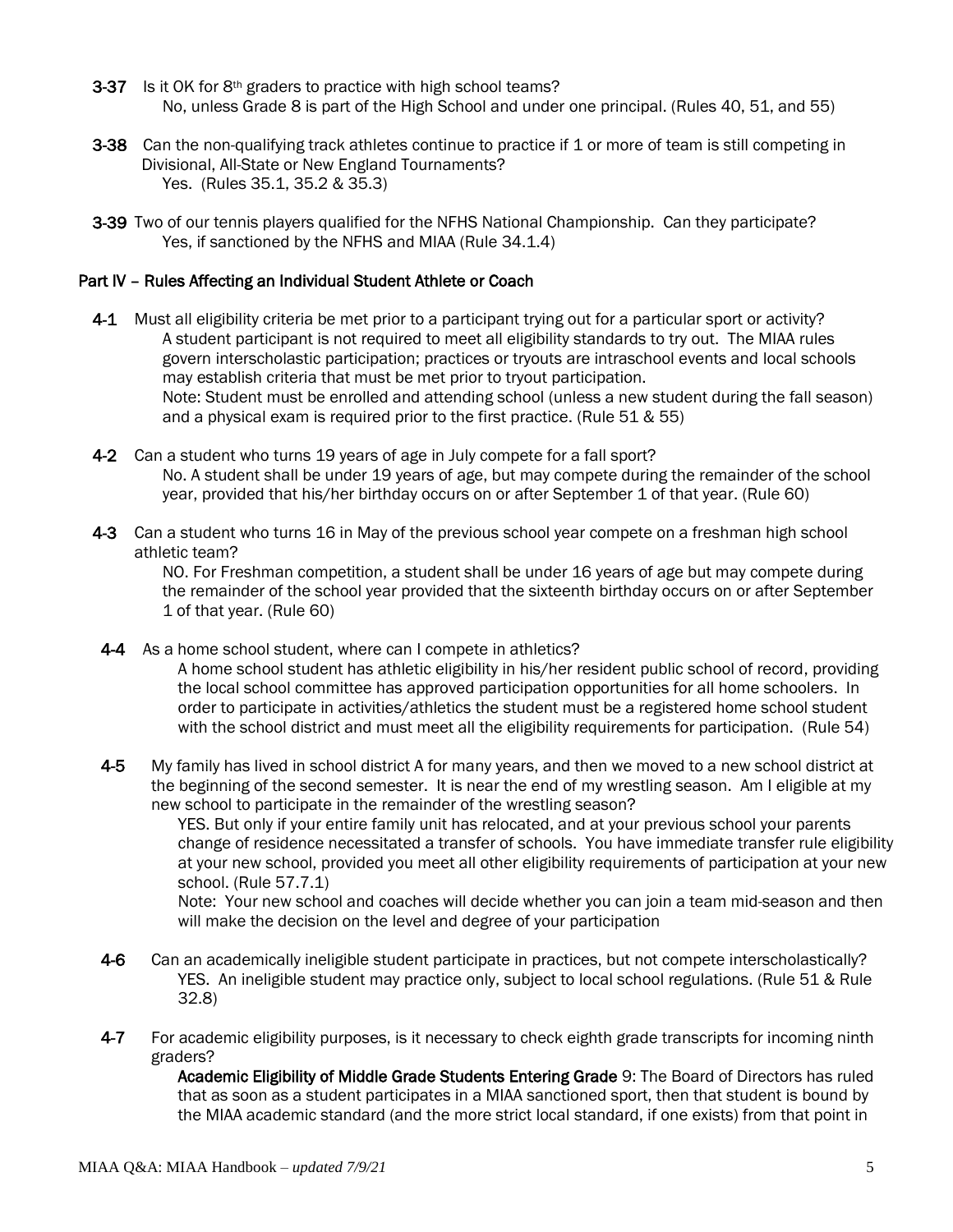- 3-37 Is it OK for 8<sup>th</sup> graders to practice with high school teams? No, unless Grade 8 is part of the High School and under one principal. (Rules 40, 51, and 55)
- 3-38 Can the non-qualifying track athletes continue to practice if 1 or more of team is still competing in Divisional, All-State or New England Tournaments? Yes. (Rules 35.1, 35.2 & 35.3)
- 3-39 Two of our tennis players qualified for the NFHS National Championship. Can they participate? Yes, if sanctioned by the NFHS and MIAA (Rule 34.1.4)

#### Part IV – Rules Affecting an Individual Student Athlete or Coach

- 4-1 Must all eligibility criteria be met prior to a participant trying out for a particular sport or activity? A student participant is not required to meet all eligibility standards to try out. The MIAA rules govern interscholastic participation; practices or tryouts are intraschool events and local schools may establish criteria that must be met prior to tryout participation. Note: Student must be enrolled and attending school (unless a new student during the fall season) and a physical exam is required prior to the first practice. (Rule 51 & 55)
- 4-2 Can a student who turns 19 years of age in July compete for a fall sport? No. A student shall be under 19 years of age, but may compete during the remainder of the school year, provided that his/her birthday occurs on or after September 1 of that year. (Rule 60)
- 4-3 Can a student who turns 16 in May of the previous school year compete on a freshman high school athletic team?

NO. For Freshman competition, a student shall be under 16 years of age but may compete during the remainder of the school year provided that the sixteenth birthday occurs on or after September 1 of that year. (Rule 60)

4-4 As a home school student, where can I compete in athletics?

A home school student has athletic eligibility in his/her resident public school of record, providing the local school committee has approved participation opportunities for all home schoolers. In order to participate in activities/athletics the student must be a registered home school student with the school district and must meet all the eligibility requirements for participation. (Rule 54)

4-5 My family has lived in school district A for many years, and then we moved to a new school district at the beginning of the second semester. It is near the end of my wrestling season. Am I eligible at my new school to participate in the remainder of the wrestling season?

YES. But only if your entire family unit has relocated, and at your previous school your parents change of residence necessitated a transfer of schools. You have immediate transfer rule eligibility at your new school, provided you meet all other eligibility requirements of participation at your new school. (Rule 57.7.1)

Note: Your new school and coaches will decide whether you can join a team mid-season and then will make the decision on the level and degree of your participation

- 4-6 Can an academically ineligible student participate in practices, but not compete interscholastically? YES. An ineligible student may practice only, subject to local school regulations. (Rule 51 & Rule 32.8)
- 4-7 For academic eligibility purposes, is it necessary to check eighth grade transcripts for incoming ninth graders?

Academic Eligibility of Middle Grade Students Entering Grade 9: The Board of Directors has ruled that as soon as a student participates in a MIAA sanctioned sport, then that student is bound by the MIAA academic standard (and the more strict local standard, if one exists) from that point in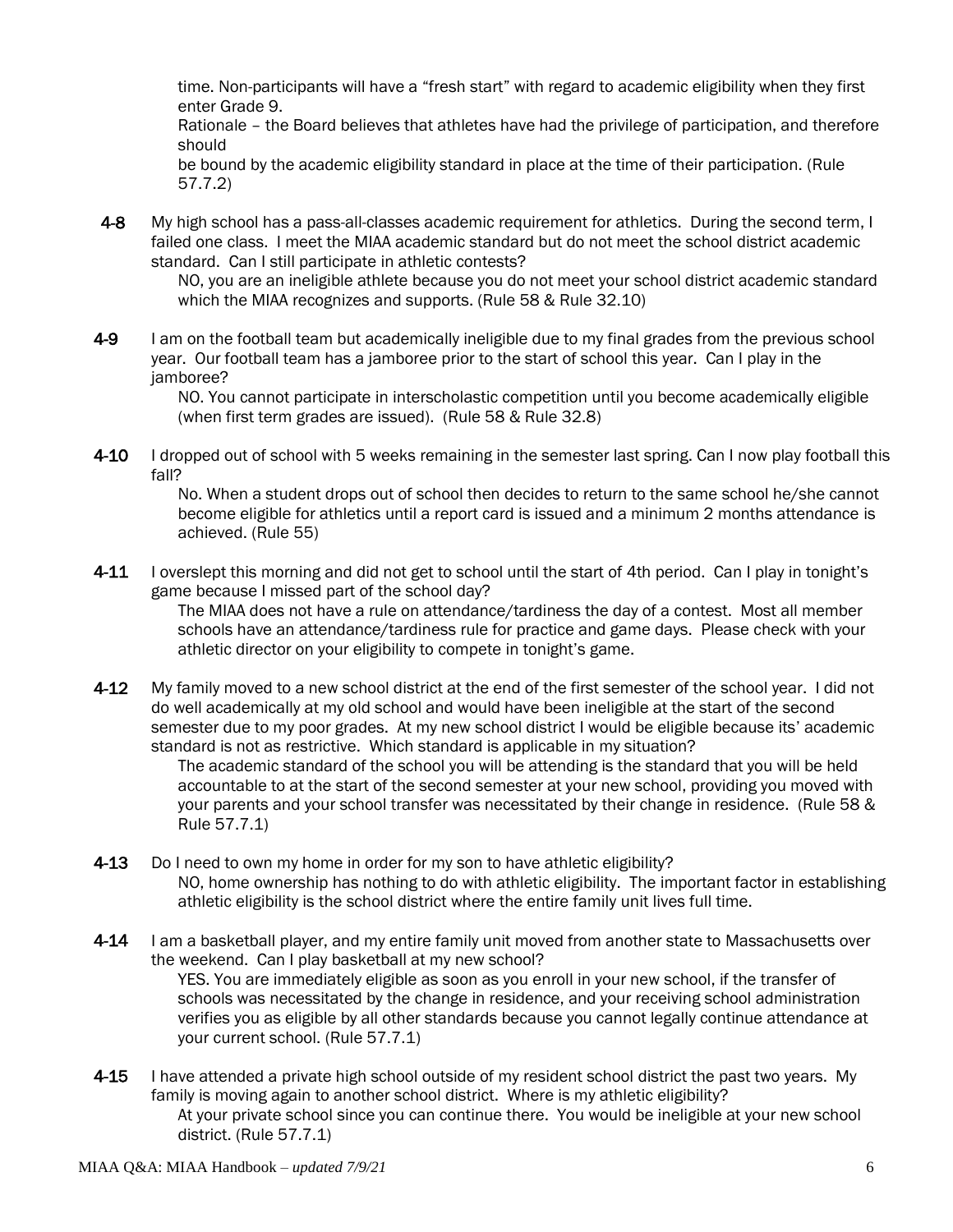time. Non-participants will have a "fresh start" with regard to academic eligibility when they first enter Grade 9.

Rationale – the Board believes that athletes have had the privilege of participation, and therefore should

be bound by the academic eligibility standard in place at the time of their participation. (Rule 57.7.2)

4-8 My high school has a pass-all-classes academic requirement for athletics. During the second term, I failed one class. I meet the MIAA academic standard but do not meet the school district academic standard. Can I still participate in athletic contests?

> NO, you are an ineligible athlete because you do not meet your school district academic standard which the MIAA recognizes and supports. (Rule 58 & Rule 32.10)

4-9 I am on the football team but academically ineligible due to my final grades from the previous school year. Our football team has a jamboree prior to the start of school this year. Can I play in the jamboree?

NO. You cannot participate in interscholastic competition until you become academically eligible (when first term grades are issued). (Rule 58 & Rule 32.8)

4-10 I dropped out of school with 5 weeks remaining in the semester last spring. Can I now play football this fall?

> No. When a student drops out of school then decides to return to the same school he/she cannot become eligible for athletics until a report card is issued and a minimum 2 months attendance is achieved. (Rule 55)

4-11 I overslept this morning and did not get to school until the start of 4th period. Can I play in tonight's game because I missed part of the school day?

The MIAA does not have a rule on attendance/tardiness the day of a contest. Most all member schools have an attendance/tardiness rule for practice and game days. Please check with your athletic director on your eligibility to compete in tonight's game.

4-12 My family moved to a new school district at the end of the first semester of the school year. I did not do well academically at my old school and would have been ineligible at the start of the second semester due to my poor grades. At my new school district I would be eligible because its' academic standard is not as restrictive. Which standard is applicable in my situation?

> The academic standard of the school you will be attending is the standard that you will be held accountable to at the start of the second semester at your new school, providing you moved with your parents and your school transfer was necessitated by their change in residence. (Rule 58 & Rule 57.7.1)

- 4-13 Do I need to own my home in order for my son to have athletic eligibility? NO, home ownership has nothing to do with athletic eligibility. The important factor in establishing athletic eligibility is the school district where the entire family unit lives full time.
- 4-14 I am a basketball player, and my entire family unit moved from another state to Massachusetts over the weekend. Can I play basketball at my new school? YES. You are immediately eligible as soon as you enroll in your new school, if the transfer of schools was necessitated by the change in residence, and your receiving school administration verifies you as eligible by all other standards because you cannot legally continue attendance at your current school. (Rule 57.7.1)
- 4-15 I have attended a private high school outside of my resident school district the past two years. My family is moving again to another school district. Where is my athletic eligibility? At your private school since you can continue there. You would be ineligible at your new school district. (Rule 57.7.1)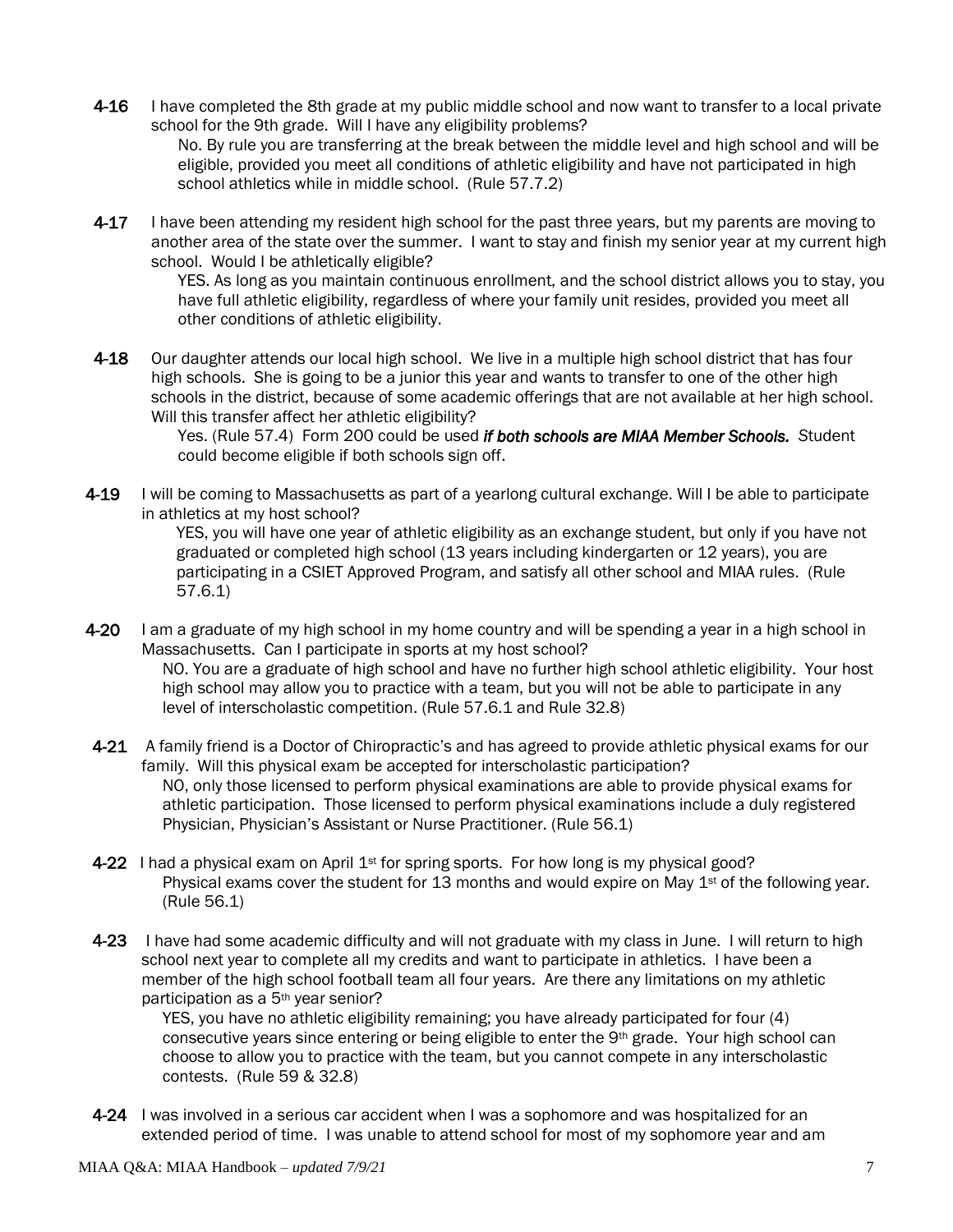- 4-16 I have completed the 8th grade at my public middle school and now want to transfer to a local private school for the 9th grade. Will I have any eligibility problems? No. By rule you are transferring at the break between the middle level and high school and will be eligible, provided you meet all conditions of athletic eligibility and have not participated in high school athletics while in middle school. (Rule 57.7.2)
- 4-17 I have been attending my resident high school for the past three years, but my parents are moving to another area of the state over the summer. I want to stay and finish my senior year at my current high school. Would I be athletically eligible?

YES. As long as you maintain continuous enrollment, and the school district allows you to stay, you have full athletic eligibility, regardless of where your family unit resides, provided you meet all other conditions of athletic eligibility.

4-18 Our daughter attends our local high school. We live in a multiple high school district that has four high schools. She is going to be a junior this year and wants to transfer to one of the other high schools in the district, because of some academic offerings that are not available at her high school. Will this transfer affect her athletic eligibility?

> Yes. (Rule 57.4) Form 200 could be used *if both schools are MIAA Member Schools. S*tudent could become eligible if both schools sign off.

4-19 I will be coming to Massachusetts as part of a yearlong cultural exchange. Will I be able to participate in athletics at my host school? YES, you will have one year of athletic eligibility as an exchange student, but only if you have not graduated or completed high school (13 years including kindergarten or 12 years), you are participating in a CSIET Approved Program, and satisfy all other school and MIAA rules. (Rule

57.6.1)

- 4-20 I am a graduate of my high school in my home country and will be spending a year in a high school in Massachusetts. Can I participate in sports at my host school? NO. You are a graduate of high school and have no further high school athletic eligibility. Your host high school may allow you to practice with a team, but you will not be able to participate in any level of interscholastic competition. (Rule 57.6.1 and Rule 32.8)
- 4-21 A family friend is a Doctor of Chiropractic's and has agreed to provide athletic physical exams for our family. Will this physical exam be accepted for interscholastic participation? NO, only those licensed to perform physical examinations are able to provide physical exams for athletic participation. Those licensed to perform physical examinations include a duly registered Physician, Physician's Assistant or Nurse Practitioner. (Rule 56.1)
- 4-22 I had a physical exam on April  $1<sup>st</sup>$  for spring sports. For how long is my physical good? Physical exams cover the student for 13 months and would expire on May  $1<sup>st</sup>$  of the following year. (Rule 56.1)
- 4-23 I have had some academic difficulty and will not graduate with my class in June. I will return to high school next year to complete all my credits and want to participate in athletics. I have been a member of the high school football team all four years. Are there any limitations on my athletic participation as a 5th year senior?

YES, you have no athletic eligibility remaining; you have already participated for four (4) consecutive years since entering or being eligible to enter the 9th grade. Your high school can choose to allow you to practice with the team, but you cannot compete in any interscholastic contests. (Rule 59 & 32.8)

4-24 I was involved in a serious car accident when I was a sophomore and was hospitalized for an extended period of time. I was unable to attend school for most of my sophomore year and am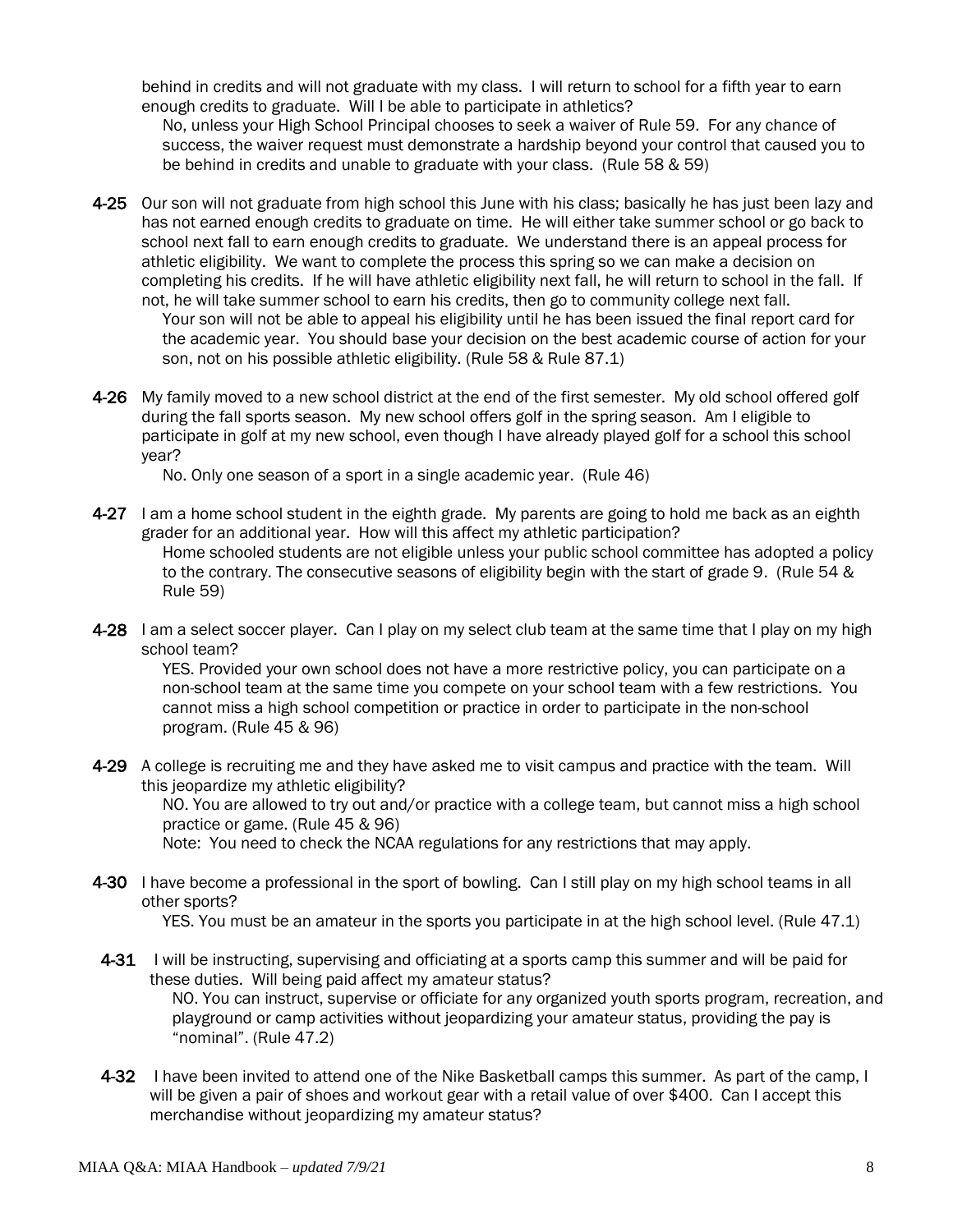behind in credits and will not graduate with my class. I will return to school for a fifth year to earn enough credits to graduate. Will I be able to participate in athletics?

No, unless your High School Principal chooses to seek a waiver of Rule 59. For any chance of success, the waiver request must demonstrate a hardship beyond your control that caused you to be behind in credits and unable to graduate with your class. (Rule 58 & 59)

- 4-25 Our son will not graduate from high school this June with his class; basically he has just been lazy and has not earned enough credits to graduate on time. He will either take summer school or go back to school next fall to earn enough credits to graduate. We understand there is an appeal process for athletic eligibility. We want to complete the process this spring so we can make a decision on completing his credits. If he will have athletic eligibility next fall, he will return to school in the fall. If not, he will take summer school to earn his credits, then go to community college next fall. Your son will not be able to appeal his eligibility until he has been issued the final report card for the academic year. You should base your decision on the best academic course of action for your son, not on his possible athletic eligibility. (Rule 58 & Rule 87.1)
- 4-26 My family moved to a new school district at the end of the first semester. My old school offered golf during the fall sports season. My new school offers golf in the spring season. Am I eligible to participate in golf at my new school, even though I have already played golf for a school this school year?

No. Only one season of a sport in a single academic year. (Rule 46)

- 4-27 I am a home school student in the eighth grade. My parents are going to hold me back as an eighth grader for an additional year. How will this affect my athletic participation? Home schooled students are not eligible unless your public school committee has adopted a policy to the contrary. The consecutive seasons of eligibility begin with the start of grade 9. (Rule 54 & Rule 59)
- 4-28 I am a select soccer player. Can I play on my select club team at the same time that I play on my high school team?

YES. Provided your own school does not have a more restrictive policy, you can participate on a non-school team at the same time you compete on your school team with a few restrictions. You cannot miss a high school competition or practice in order to participate in the non-school program. (Rule 45 & 96)

- 4-29 A college is recruiting me and they have asked me to visit campus and practice with the team. Will this jeopardize my athletic eligibility? NO. You are allowed to try out and/or practice with a college team, but cannot miss a high school practice or game. (Rule 45 & 96) Note: You need to check the NCAA regulations for any restrictions that may apply.
- 4-30 I have become a professional in the sport of bowling. Can I still play on my high school teams in all other sports?

YES. You must be an amateur in the sports you participate in at the high school level. (Rule 47.1)

- 4-31 I will be instructing, supervising and officiating at a sports camp this summer and will be paid for these duties. Will being paid affect my amateur status? NO. You can instruct, supervise or officiate for any organized youth sports program, recreation, and playground or camp activities without jeopardizing your amateur status, providing the pay is "nominal". (Rule 47.2)
- 4-32 I have been invited to attend one of the Nike Basketball camps this summer. As part of the camp, I will be given a pair of shoes and workout gear with a retail value of over \$400. Can I accept this merchandise without jeopardizing my amateur status?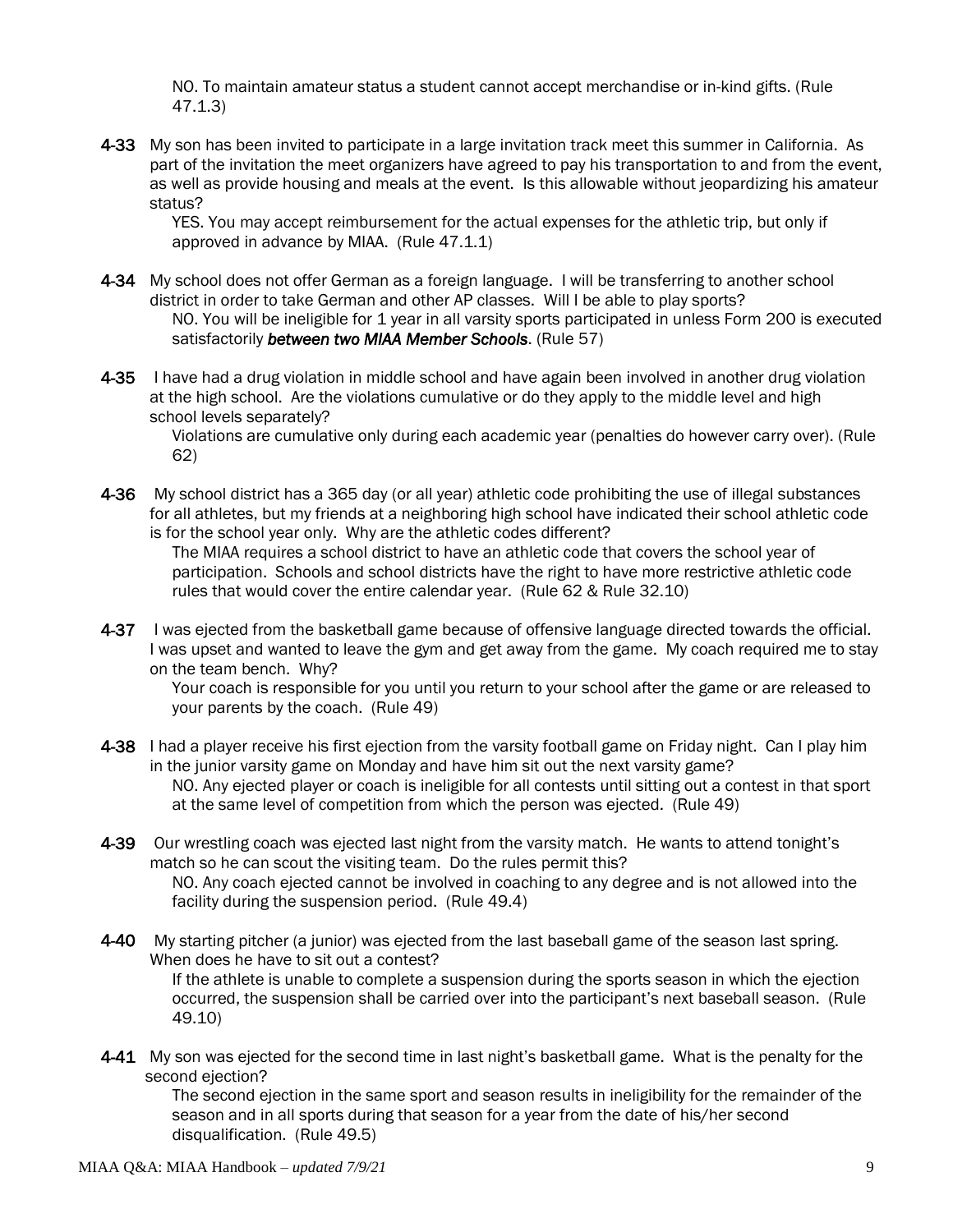NO. To maintain amateur status a student cannot accept merchandise or in-kind gifts. (Rule 47.1.3)

4-33 My son has been invited to participate in a large invitation track meet this summer in California. As part of the invitation the meet organizers have agreed to pay his transportation to and from the event, as well as provide housing and meals at the event. Is this allowable without jeopardizing his amateur status?

YES. You may accept reimbursement for the actual expenses for the athletic trip, but only if approved in advance by MIAA. (Rule 47.1.1)

- 4-34 My school does not offer German as a foreign language. I will be transferring to another school district in order to take German and other AP classes. Will I be able to play sports? NO. You will be ineligible for 1 year in all varsity sports participated in unless Form 200 is executed satisfactorily *between two MIAA Member Schools*. (Rule 57)
- 4-35 I have had a drug violation in middle school and have again been involved in another drug violation at the high school. Are the violations cumulative or do they apply to the middle level and high school levels separately?

Violations are cumulative only during each academic year (penalties do however carry over). (Rule 62)

4-36 My school district has a 365 day (or all year) athletic code prohibiting the use of illegal substances for all athletes, but my friends at a neighboring high school have indicated their school athletic code is for the school year only. Why are the athletic codes different?

The MIAA requires a school district to have an athletic code that covers the school year of participation. Schools and school districts have the right to have more restrictive athletic code rules that would cover the entire calendar year. (Rule 62 & Rule 32.10)

4-37 I was ejected from the basketball game because of offensive language directed towards the official. I was upset and wanted to leave the gym and get away from the game. My coach required me to stay on the team bench. Why?

Your coach is responsible for you until you return to your school after the game or are released to your parents by the coach. (Rule 49)

4-38 I had a player receive his first ejection from the varsity football game on Friday night. Can I play him in the junior varsity game on Monday and have him sit out the next varsity game? NO. Any ejected player or coach is ineligible for all contests until sitting out a contest in that sport at the same level of competition from which the person was ejected. (Rule 49)

- 4-39 Our wrestling coach was ejected last night from the varsity match. He wants to attend tonight's match so he can scout the visiting team. Do the rules permit this? NO. Any coach ejected cannot be involved in coaching to any degree and is not allowed into the facility during the suspension period. (Rule 49.4)
- 4-40 My starting pitcher (a junior) was ejected from the last baseball game of the season last spring. When does he have to sit out a contest? If the athlete is unable to complete a suspension during the sports season in which the ejection occurred, the suspension shall be carried over into the participant's next baseball season. (Rule 49.10)
- 4-41 My son was ejected for the second time in last night's basketball game. What is the penalty for the second ejection?

The second ejection in the same sport and season results in ineligibility for the remainder of the season and in all sports during that season for a year from the date of his/her second disqualification. (Rule 49.5)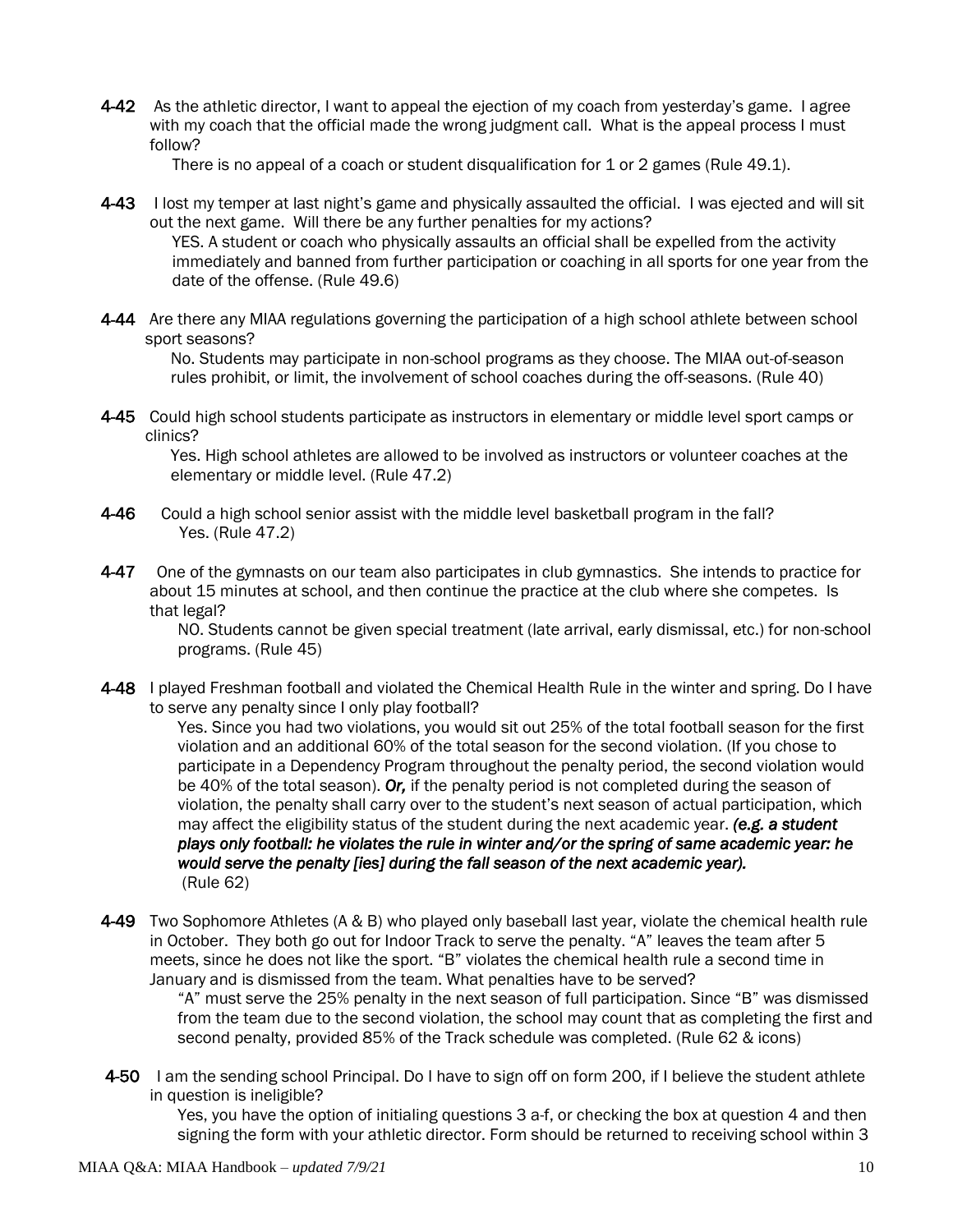4-42 As the athletic director, I want to appeal the ejection of my coach from yesterday's game. I agree with my coach that the official made the wrong judgment call. What is the appeal process I must follow?

There is no appeal of a coach or student disqualification for 1 or 2 games (Rule 49.1).

- 4-43 I lost my temper at last night's game and physically assaulted the official. I was ejected and will sit out the next game. Will there be any further penalties for my actions? YES. A student or coach who physically assaults an official shall be expelled from the activity immediately and banned from further participation or coaching in all sports for one year from the date of the offense. (Rule 49.6)
- 4-44 Are there any MIAA regulations governing the participation of a high school athlete between school sport seasons?

No. Students may participate in non-school programs as they choose. The MIAA out-of-season rules prohibit, or limit, the involvement of school coaches during the off-seasons. (Rule 40)

4-45 Could high school students participate as instructors in elementary or middle level sport camps or clinics?

Yes. High school athletes are allowed to be involved as instructors or volunteer coaches at the elementary or middle level. (Rule 47.2)

- 4-46 Could a high school senior assist with the middle level basketball program in the fall? Yes. (Rule 47.2)
- 4-47 One of the gymnasts on our team also participates in club gymnastics. She intends to practice for about 15 minutes at school, and then continue the practice at the club where she competes. Is that legal?

NO. Students cannot be given special treatment (late arrival, early dismissal, etc.) for non-school programs. (Rule 45)

4-48 I played Freshman football and violated the Chemical Health Rule in the winter and spring. Do I have to serve any penalty since I only play football?

Yes. Since you had two violations, you would sit out 25% of the total football season for the first violation and an additional 60% of the total season for the second violation. (If you chose to participate in a Dependency Program throughout the penalty period, the second violation would be 40% of the total season). *Or,* if the penalty period is not completed during the season of violation, the penalty shall carry over to the student's next season of actual participation, which may affect the eligibility status of the student during the next academic year. *(e.g. a student plays only football: he violates the rule in winter and/or the spring of same academic year: he would serve the penalty [ies] during the fall season of the next academic year).*  (Rule 62)

4-49 Two Sophomore Athletes (A & B) who played only baseball last year, violate the chemical health rule in October. They both go out for Indoor Track to serve the penalty. "A" leaves the team after 5 meets, since he does not like the sport. "B" violates the chemical health rule a second time in January and is dismissed from the team. What penalties have to be served?

"A" must serve the 25% penalty in the next season of full participation. Since "B" was dismissed from the team due to the second violation, the school may count that as completing the first and second penalty, provided 85% of the Track schedule was completed. (Rule 62 & icons)

4-50 I am the sending school Principal. Do I have to sign off on form 200, if I believe the student athlete in question is ineligible?

Yes, you have the option of initialing questions 3 a-f, or checking the box at question 4 and then signing the form with your athletic director. Form should be returned to receiving school within 3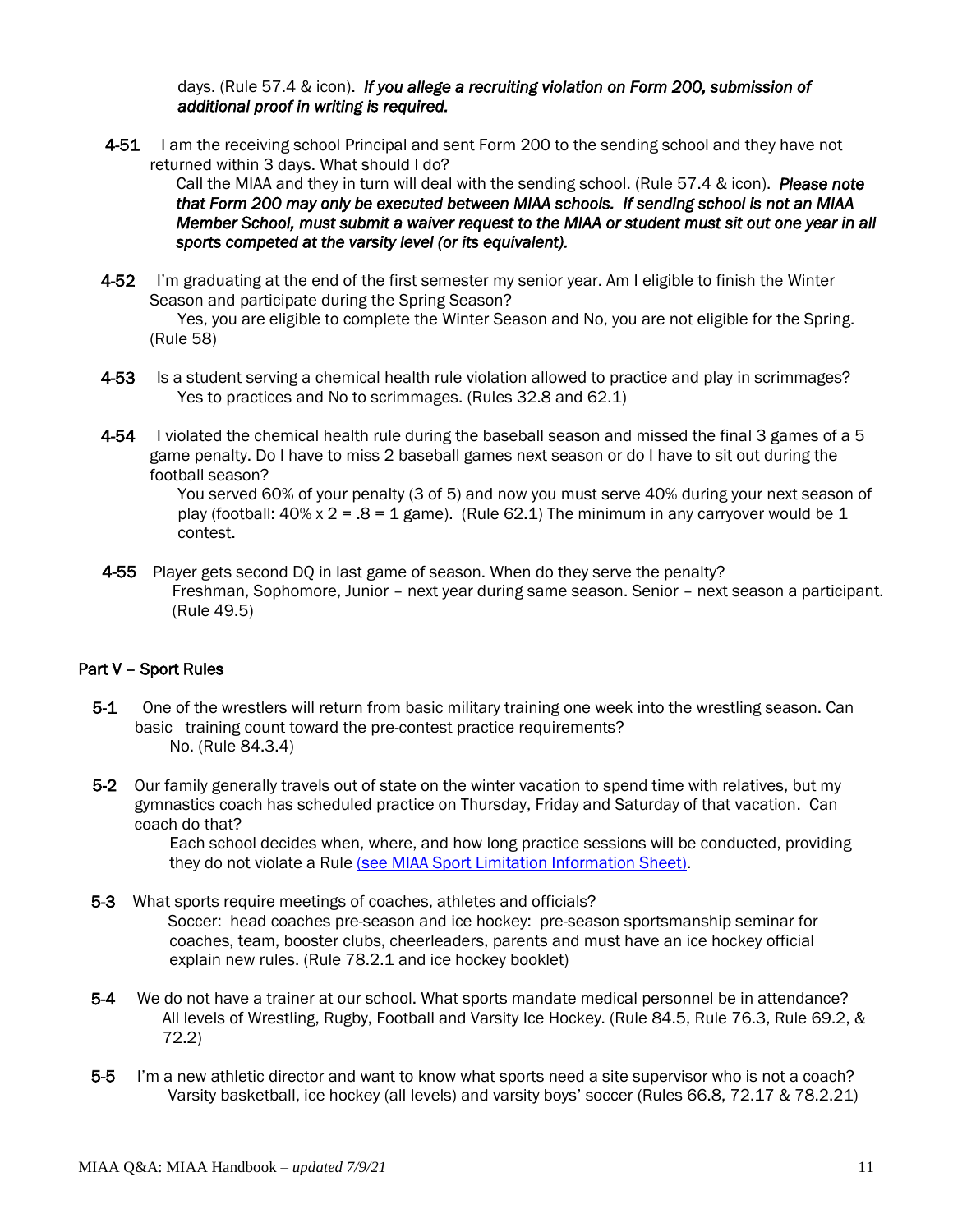days. (Rule 57.4 & icon). *If you allege a recruiting violation on Form 200, submission of additional proof in writing is required.* 

4-51 I am the receiving school Principal and sent Form 200 to the sending school and they have not returned within 3 days. What should I do?

Call the MIAA and they in turn will deal with the sending school. (Rule 57.4 & icon). *Please note that Form 200 may only be executed between MIAA schools. If sending school is not an MIAA Member School, must submit a waiver request to the MIAA or student must sit out one year in all sports competed at the varsity level (or its equivalent).* 

- 4-52 I'm graduating at the end of the first semester my senior year. Am I eligible to finish the Winter Season and participate during the Spring Season? Yes, you are eligible to complete the Winter Season and No, you are not eligible for the Spring.
- 4-53 Is a student serving a chemical health rule violation allowed to practice and play in scrimmages? Yes to practices and No to scrimmages. (Rules 32.8 and 62.1)
- 4-54 I violated the chemical health rule during the baseball season and missed the final 3 games of a 5 game penalty. Do I have to miss 2 baseball games next season or do I have to sit out during the football season?

You served 60% of your penalty (3 of 5) and now you must serve 40% during your next season of play (football:  $40\% \times 2 = .8 = 1$  game). (Rule 62.1) The minimum in any carryover would be 1 contest.

4-55 Player gets second DQ in last game of season. When do they serve the penalty? Freshman, Sophomore, Junior – next year during same season. Senior – next season a participant. (Rule 49.5)

#### Part V – Sport Rules

(Rule 58)

- 5-1 One of the wrestlers will return from basic military training one week into the wrestling season. Can basic training count toward the pre-contest practice requirements? No. (Rule 84.3.4)
- 5-2 Our family generally travels out of state on the winter vacation to spend time with relatives, but my gymnastics coach has scheduled practice on Thursday, Friday and Saturday of that vacation. Can coach do that?

Each school decides when, where, and how long practice sessions will be conducted, providing they do not violate a Rule (see MIAA Sport Limitation Information Sheet).

- 5-3 What sports require meetings of coaches, athletes and officials? Soccer: head coaches pre-season and ice hockey: pre-season sportsmanship seminar for coaches, team, booster clubs, cheerleaders, parents and must have an ice hockey official explain new rules. (Rule 78.2.1 and ice hockey booklet)
- 5-4 We do not have a trainer at our school. What sports mandate medical personnel be in attendance? All levels of Wrestling, Rugby, Football and Varsity Ice Hockey. (Rule 84.5, Rule 76.3, Rule 69.2, & 72.2)
- 5-5 I'm a new athletic director and want to know what sports need a site supervisor who is not a coach? Varsity basketball, ice hockey (all levels) and varsity boys' soccer (Rules 66.8, 72.17 & 78.2.21)